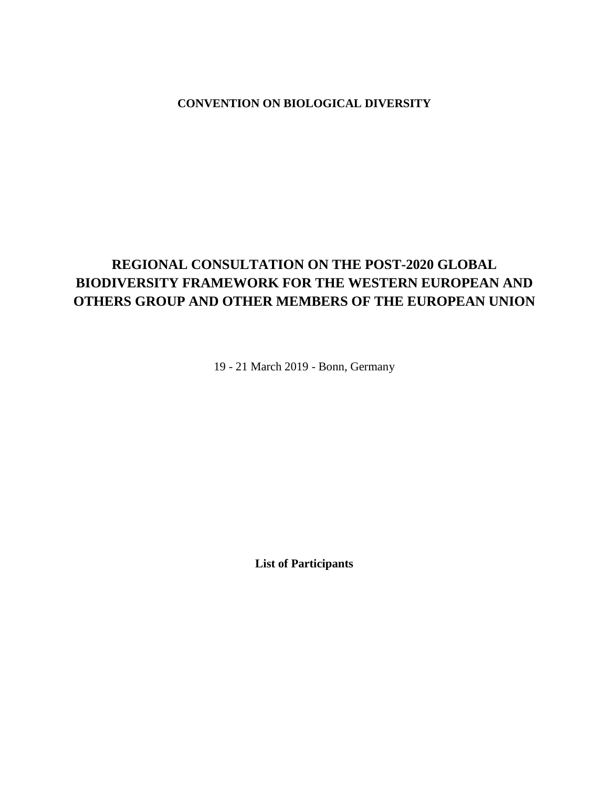# **CONVENTION ON BIOLOGICAL DIVERSITY**

# **REGIONAL CONSULTATION ON THE POST-2020 GLOBAL BIODIVERSITY FRAMEWORK FOR THE WESTERN EUROPEAN AND OTHERS GROUP AND OTHER MEMBERS OF THE EUROPEAN UNION**

19 - 21 March 2019 - Bonn, Germany

**List of Participants**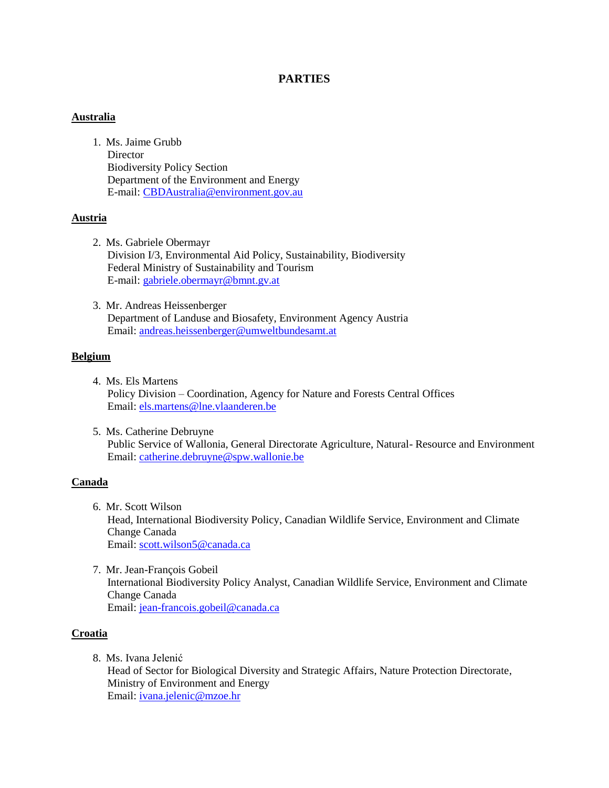# **PARTIES**

# **Australia**

1. Ms. Jaime Grubb **Director** Biodiversity Policy Section Department of the Environment and Energy E-mail[: CBDAustralia@environment.gov.au](mailto:CBDAustralia@environment.gov.au)

# **Austria**

- 2. Ms. Gabriele Obermayr Division I/3, Environmental Aid Policy, Sustainability, Biodiversity Federal Ministry of Sustainability and Tourism E-mail[: gabriele.obermayr@bmnt.gv.at](mailto:gabriele.obermayr@bmnt.gv.at)
- 3. Mr. Andreas Heissenberger Department of Landuse and Biosafety, Environment Agency Austria Email: [andreas.heissenberger@umweltbundesamt.at](mailto:andreas.heissenberger@umweltbundesamt.at)

### **Belgium**

- 4. Ms. Els Martens Policy Division – Coordination, Agency for Nature and Forests Central Offices Email: [els.martens@lne.vlaanderen.be](mailto:els.martens@lne.vlaanderen.be)
- 5. Ms. Catherine Debruyne Public Service of Wallonia, General Directorate Agriculture, Natural- Resource and Environment Email: [catherine.debruyne@spw.wallonie.be](mailto:catherine.debruyne@spw.wallonie.be)

# **Canada**

- 6. Mr. Scott Wilson Head, International Biodiversity Policy, Canadian Wildlife Service, Environment and Climate Change Canada Email: [scott.wilson5@canada.ca](mailto:scott.wilson5@canada.ca)
- 7. Mr. Jean-François Gobeil International Biodiversity Policy Analyst, Canadian Wildlife Service, Environment and Climate Change Canada Email: [jean-francois.gobeil@canada.ca](mailto:jean-francois.gobeil@canada.ca)

# **Croatia**

8. Ms. Ivana Jelenić

Head of Sector for Biological Diversity and Strategic Affairs, Nature Protection Directorate, Ministry of Environment and Energy Email: [ivana.jelenic@mzoe.hr](mailto:ivana.jelenic@mzoe.hr)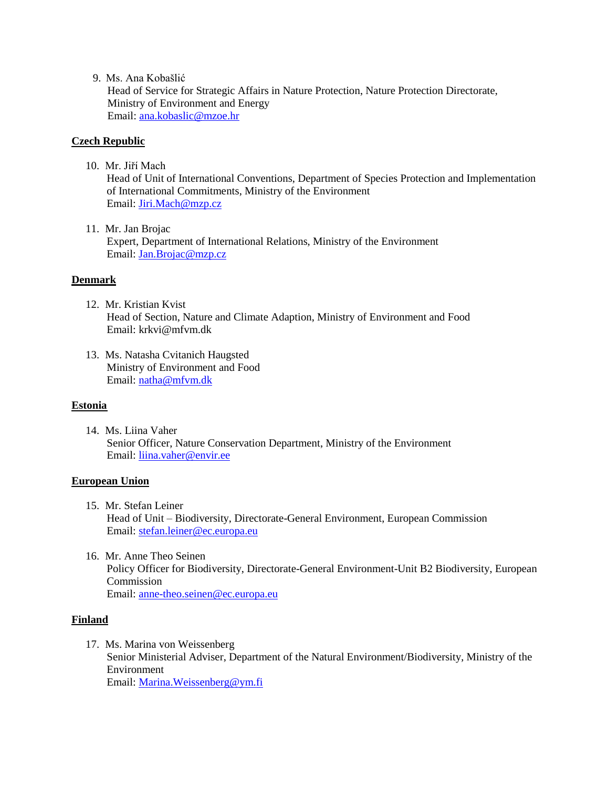9. Ms. Ana Kobašlić

Head of Service for Strategic Affairs in Nature Protection, Nature Protection Directorate, Ministry of Environment and Energy Email: [ana.kobaslic@mzoe.hr](mailto:ana.kobaslic@mzoe.hr)

# **Czech Republic**

10. Mr. Jiří Mach

Head of Unit of International Conventions, Department of Species Protection and Implementation of International Commitments, Ministry of the Environment Email: [Jiri.Mach@mzp.cz](mailto:Jiri.Mach@mzp.cz)

11. Mr. Jan Brojac Expert, Department of International Relations, Ministry of the Environment Email: [Jan.Brojac@mzp.cz](mailto:Jan.Brojac@mzp.cz)

# **Denmark**

- 12. Mr. Kristian Kvist Head of Section, Nature and Climate Adaption, Ministry of Environment and Food Email: krkvi@mfvm.dk
- 13. Ms. Natasha Cvitanich Haugsted Ministry of Environment and Food Email: [natha@mfvm.dk](mailto:natha@mfvm.dk)

# **Estonia**

14. Ms. Liina Vaher Senior Officer, Nature Conservation Department, Ministry of the Environment Email: [liina.vaher@envir.ee](mailto:liina.vaher@envir.ee)

# **European Union**

- 15. Mr. Stefan Leiner Head of Unit – Biodiversity, Directorate-General Environment, European Commission Email: [stefan.leiner@ec.europa.eu](mailto:stefan.leiner@ec.europa.eu)
- 16. Mr. Anne Theo Seinen Policy Officer for Biodiversity, Directorate-General Environment-Unit B2 Biodiversity, European Commission Email: [anne-theo.seinen@ec.europa.eu](mailto:anne-theo.seinen@ec.europa.eu)

# **Finland**

17. Ms. Marina von Weissenberg Senior Ministerial Adviser, Department of the Natural Environment/Biodiversity, Ministry of the Environment Email: [Marina.Weissenberg@ym.fi](mailto:Marina.Weissenberg@ym.fi)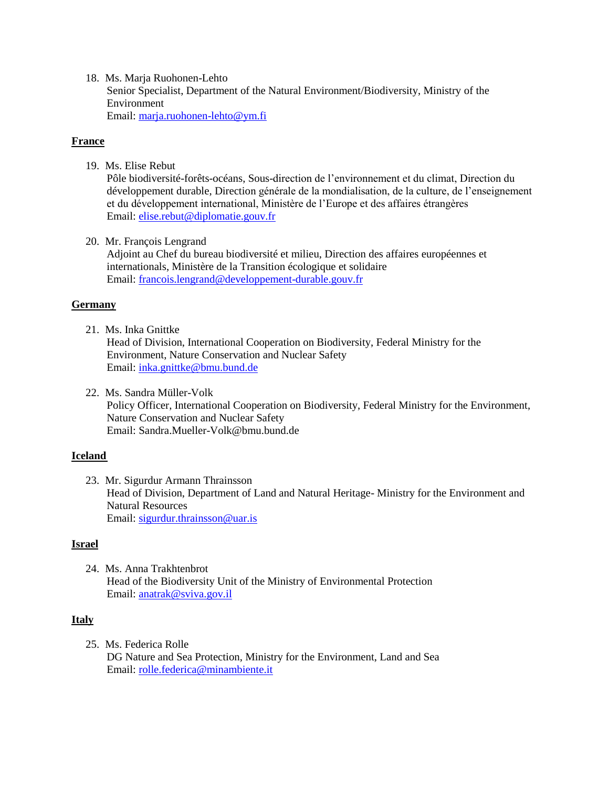18. Ms. Marja Ruohonen-Lehto Senior Specialist, Department of the Natural Environment/Biodiversity, Ministry of the Environment Email: [marja.ruohonen-lehto@ym.fi](mailto:marja.ruohonen-lehto@ym.fi)

# **France**

19. Ms. Elise Rebut

Pôle biodiversité-forêts-océans, Sous-direction de l'environnement et du climat, Direction du développement durable, Direction générale de la mondialisation, de la culture, de l'enseignement et du développement international, Ministère de l'Europe et des affaires étrangères Email: [elise.rebut@diplomatie.gouv.fr](mailto:elise.rebut@diplomatie.gouv.fr)

20. Mr. François Lengrand

Adjoint au Chef du bureau biodiversité et milieu, Direction des affaires européennes et internationals, Ministère de la Transition écologique et solidaire Email: [francois.lengrand@developpement-durable.gouv.fr](mailto:francois.lengrand@developpement-durable.gouv.fr)

# **Germany**

21. Ms. Inka Gnittke

Head of Division, International Cooperation on Biodiversity, Federal Ministry for the Environment, Nature Conservation and Nuclear Safety Email: [inka.gnittke@bmu.bund.de](mailto:inka.gnittke@bmu.bund.de)

22. Ms. Sandra Müller-Volk Policy Officer, International Cooperation on Biodiversity, Federal Ministry for the Environment, Nature Conservation and Nuclear Safety Email: [Sandra.Mueller-Volk@bmu.bund.de](mailto:Sandra.Mueller-Volk@bmu.bund.de)

# **Iceland**

23. Mr. Sigurdur Armann Thrainsson Head of Division, Department of Land and Natural Heritage- Ministry for the Environment and Natural Resources Email: [sigurdur.thrainsson@uar.is](mailto:sigurdur.thrainsson@uar.is)

# **Israel**

24. Ms. Anna Trakhtenbrot Head of the Biodiversity Unit of the Ministry of Environmental Protection Email: [anatrak@sviva.gov.il](mailto:anatrak@sviva.gov.il)

# **Italy**

25. Ms. Federica Rolle DG Nature and Sea Protection, Ministry for the Environment, Land and Sea Email: [rolle.federica@minambiente.it](mailto:rolle.federica@minambiente.it)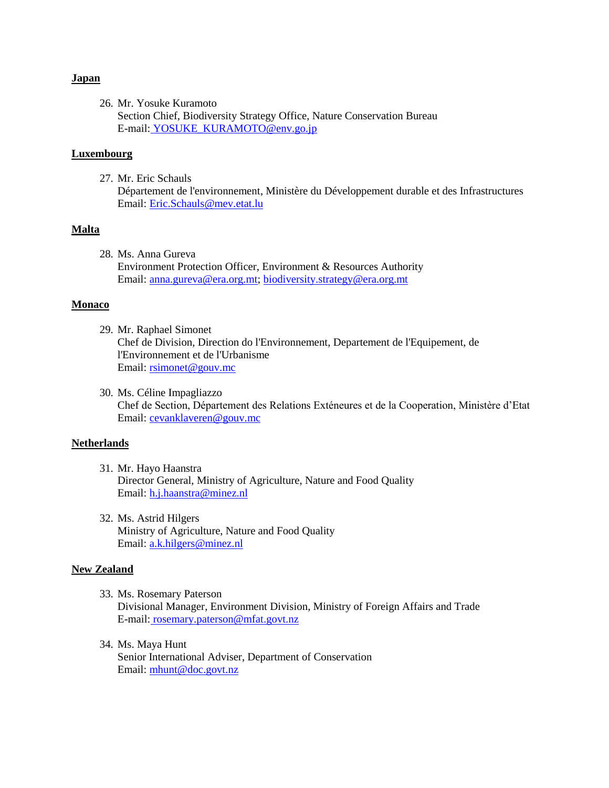#### **Japan**

26. Mr. Yosuke Kuramoto Section Chief, Biodiversity Strategy Office, Nature Conservation Bureau E-mail: [YOSUKE\\_KURAMOTO@env.go.jp](mailto:YOSUKE_KURAMOTO@env.go.jp) 

# **Luxembourg**

27. Mr. Eric Schauls Département de l'environnement, Ministère du Développement durable et des Infrastructures Email: [Eric.Schauls@mev.etat.lu](mailto:Eric.Schauls@mev.etat.lu)

# **Malta**

28. Ms. Anna Gureva Environment Protection Officer, Environment & Resources Authority Email: [anna.gureva@era.org.mt;](mailto:anna.gureva@era.org.mt) [biodiversity.strategy@era.org.mt](mailto:biodiversity.strategy@era.org.mt)

#### **Monaco**

- 29. Mr. Raphael Simonet Chef de Division, Direction do l'Environnement, Departement de l'Equipement, de l'Environnement et de l'Urbanisme Email: [rsimonet@gouv.mc](mailto:rsimonet@gouv.mc)
- 30. Ms. Céline Impagliazzo Chef de Section, Département des Relations Exténeures et de la Cooperation, Ministère d'Etat Email: [cevanklaveren@gouv.mc](mailto:cevanklaveren@gouv.mc)

#### **Netherlands**

- 31. Mr. Hayo Haanstra Director General, Ministry of Agriculture, Nature and Food Quality Email: [h.j.haanstra@minez.nl](mailto:h.j.haanstra@minez.nl)
- 32. Ms. Astrid Hilgers Ministry of Agriculture, Nature and Food Quality Email: [a.k.hilgers@minez.nl](mailto:a.k.hilgers@minez.nl)

#### **New Zealand**

- 33. Ms. Rosemary Paterson Divisional Manager, Environment Division, Ministry of Foreign Affairs and Trade E-mail: [rosemary.paterson@mfat.govt.nz](mailto:rosemary.paterson@mfat.govt.nz)
- 34. Ms. Maya Hunt Senior International Adviser, Department of Conservation Email: [mhunt@doc.govt.nz](mailto:mhunt@doc.govt.nz)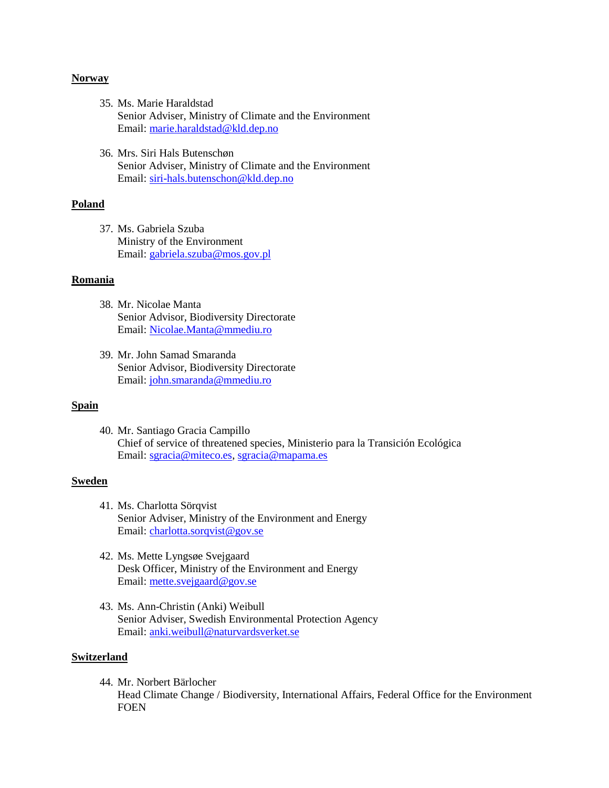#### **Norway**

- 35. Ms. Marie Haraldstad Senior Adviser, Ministry of Climate and the Environment Email: [marie.haraldstad@kld.dep.no](mailto:marie.haraldstad@kld.dep.no)
- 36. Mrs. Siri Hals Butenschøn Senior Adviser, Ministry of Climate and the Environment Email: [siri-hals.butenschon@kld.dep.no](mailto:siri-hals.butenschon@kld.dep.no)

#### **Poland**

37. Ms. Gabriela Szuba Ministry of the Environment Email: [gabriela.szuba@mos.gov.pl](mailto:gabriela.szuba@mos.gov.pl)

# **Romania**

- 38. Mr. Nicolae Manta Senior Advisor, Biodiversity Directorate Email: [Nicolae.Manta@mmediu.ro](mailto:Nicolae.Manta@mmediu.ro)
- 39. Mr. John Samad Smaranda Senior Advisor, Biodiversity Directorate Email: [john.smaranda@mmediu.ro](mailto:john.smaranda@mmediu.ro)

# **Spain**

40. Mr. Santiago Gracia Campillo Chief of service of threatened species, Ministerio para la Transición Ecológica Email: [sgracia@miteco.es,](mailto:sgracia@miteco.es) [sgracia@mapama.es](mailto:sgracia@mapama.es)

#### **Sweden**

- 41. Ms. Charlotta Sörqvist Senior Adviser, Ministry of the Environment and Energy Email: [charlotta.sorqvist@gov.se](mailto:charlotta.sorqvist@gov.se)
- 42. Ms. Mette Lyngsøe Svejgaard Desk Officer, Ministry of the Environment and Energy Email: [mette.svejgaard@gov.se](mailto:mette.svejgaard@gov.se)
- 43. Ms. Ann-Christin (Anki) Weibull Senior Adviser, Swedish Environmental Protection Agency Email: [anki.weibull@naturvardsverket.se](mailto:anki.weibull@naturvardsverket.se)

### **Switzerland**

44. Mr. Norbert Bärlocher Head Climate Change / Biodiversity, International Affairs, Federal Office for the Environment FOEN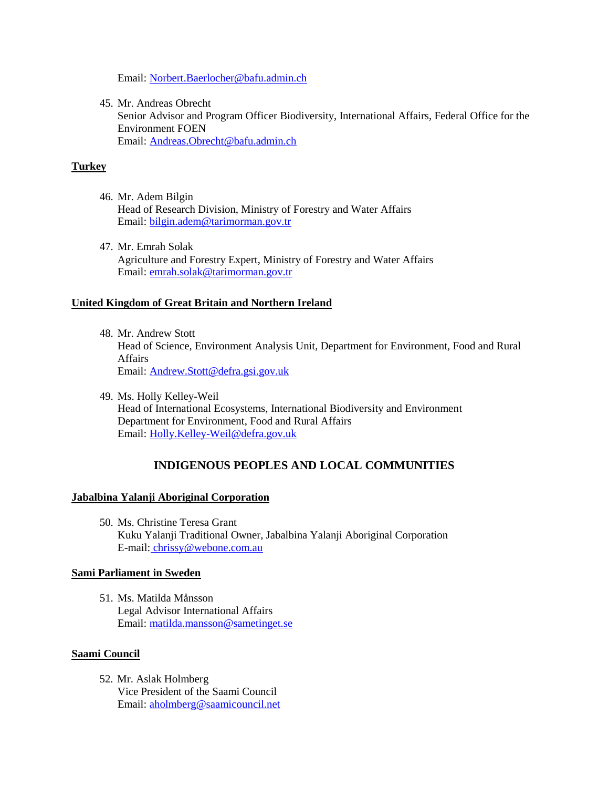Email: [Norbert.Baerlocher@bafu.admin.ch](mailto:Norbert.Baerlocher@bafu.admin.ch)

45. Mr. Andreas Obrecht Senior Advisor and Program Officer Biodiversity, International Affairs, Federal Office for the Environment FOEN Email: [Andreas.Obrecht@bafu.admin.ch](mailto:Andreas.Obrecht@bafu.admin.ch)

# **Turkey**

- 46. Mr. Adem Bilgin Head of Research Division, Ministry of Forestry and Water Affairs Email: [bilgin.adem@tarimorman.gov.tr](mailto:bilgin.adem@tarimorman.gov.tr)
- 47. Mr. Emrah Solak Agriculture and Forestry Expert, Ministry of Forestry and Water Affairs Email: [emrah.solak@tarimorman.gov.tr](mailto:emrah.solak@tarimorman.gov.tr)

# **United Kingdom of Great Britain and Northern Ireland**

- 48. Mr. Andrew Stott Head of Science, Environment Analysis Unit, Department for Environment, Food and Rural Affairs Email: [Andrew.Stott@defra.gsi.gov.uk](mailto:Andrew.Stott@defra.gsi.gov.uk)
- 49. Ms. Holly Kelley-Weil Head of International Ecosystems, International Biodiversity and Environment Department for Environment, Food and Rural Affairs Email: [Holly.Kelley-Weil@defra.gov.uk](mailto:Holly.Kelley-Weil@defra.gov.uk)

# **INDIGENOUS PEOPLES AND LOCAL COMMUNITIES**

# **Jabalbina Yalanji Aboriginal Corporation**

50. Ms. Christine Teresa Grant Kuku Yalanji Traditional Owner, Jabalbina Yalanji Aboriginal Corporation E-mail: [chrissy@webone.com.au](mailto:chrissy@webone.com.au) 

# **Sami Parliament in Sweden**

51. Ms. Matilda Månsson Legal Advisor International Affairs Email: [matilda.mansson@sametinget.se](mailto:matilda.mansson@sametinget.se)

# **Saami Council**

52. Mr. Aslak Holmberg Vice President of the Saami Council Email: [aholmberg@saamicouncil.net](mailto:aholmberg@saamicouncil.net)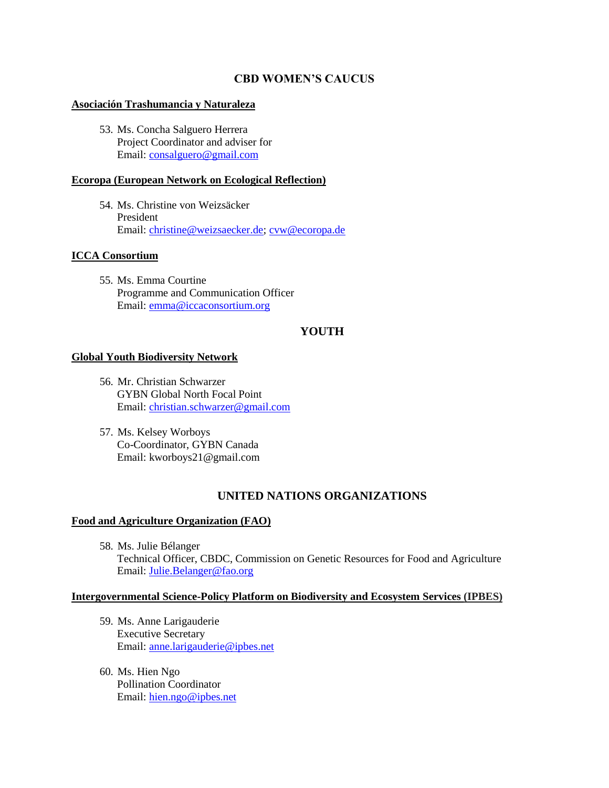# **CBD WOMEN'S CAUCUS**

#### **Asociación Trashumancia y Naturaleza**

53. Ms. Concha Salguero Herrera Project Coordinator and adviser for Email: [consalguero@gmail.com](mailto:consalguero@gmail.com)

# **Ecoropa (European Network on Ecological Reflection)**

54. Ms. Christine von Weizsäcker President Email: [christine@weizsaecker.de;](mailto:christine@weizsaecker.de) [cvw@ecoropa.de](mailto:cvw@ecoropa.de)

# **ICCA Consortium**

55. Ms. Emma Courtine Programme and Communication Officer Email: [emma@iccaconsortium.org](mailto:emma@iccaconsortium.org)

# **YOUTH**

### **Global Youth Biodiversity Network**

- 56. Mr. Christian Schwarzer GYBN Global North Focal Point Email: [christian.schwarzer@gmail.com](mailto:christian.schwarzer@gmail.com)
- 57. Ms. Kelsey Worboys Co-Coordinator, GYBN Canada Email: [kworboys21@gmail.com](mailto:kworboys21@gmail.com)

# **UNITED NATIONS ORGANIZATIONS**

### **Food and Agriculture Organization (FAO)**

58. Ms. Julie Bélanger Technical Officer, CBDC, Commission on Genetic Resources for Food and Agriculture Email: [Julie.Belanger@fao.org](mailto:Julie.Belanger@fao.org)

# **Intergovernmental Science-Policy Platform on Biodiversity and Ecosystem Services (IPBES)**

- 59. Ms. Anne Larigauderie Executive Secretary Email: [anne.larigauderie@ipbes.net](mailto:anne.larigauderie@ipbes.net)
- 60. Ms. Hien Ngo Pollination Coordinator Email: [hien.ngo@ipbes.net](mailto:hien.ngo@ipbes.net)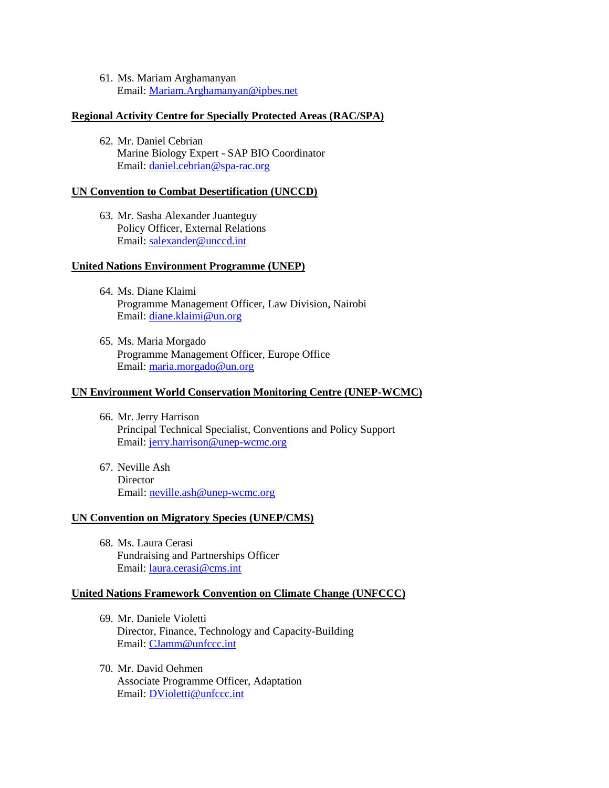61. Ms. Mariam Arghamanyan Email: [Mariam.Arghamanyan@ipbes.net](mailto:Mariam.Arghamanyan@ipbes.net)

#### **Regional Activity Centre for Specially Protected Areas (RAC/SPA)**

62. Mr. Daniel Cebrian Marine Biology Expert - SAP BIO Coordinator Email: [daniel.cebrian@spa-rac.org](mailto:daniel.cebrian@spa-rac.org)

### **UN Convention to Combat Desertification (UNCCD)**

63. Mr. Sasha Alexander Juanteguy Policy Officer, External Relations Email: [salexander@unccd.int](mailto:salexander@unccd.int)

#### **United Nations Environment Programme (UNEP)**

- 64. Ms. Diane Klaimi Programme Management Officer, Law Division, Nairobi Email: [diane.klaimi@un.org](mailto:diane.klaimi@un.org)
- 65. Ms. Maria Morgado Programme Management Officer, Europe Office Email: [maria.morgado@un.org](mailto:maria.morgado@un.org)

#### **UN Environment World Conservation Monitoring Centre (UNEP-WCMC)**

- 66. Mr. Jerry Harrison Principal Technical Specialist, Conventions and Policy Support Email: [jerry.harrison@unep-wcmc.org](mailto:jerry.harrison@unep-wcmc.org)
- 67. Neville Ash **Director** Email: [neville.ash@unep-wcmc.org](mailto:neville.ash@unep-wcmc.org)

#### **UN Convention on Migratory Species (UNEP/CMS)**

68. Ms. Laura Cerasi Fundraising and Partnerships Officer Email: [laura.cerasi@cms.int](mailto:laura.cerasi@cms.int)

### **United Nations Framework Convention on Climate Change (UNFCCC)**

- 69. Mr. Daniele Violetti Director, Finance, Technology and Capacity-Building Email: [CJamm@unfccc.int](mailto:CJamm@unfccc.int)
- 70. Mr. David Oehmen Associate Programme Officer, Adaptation Email: [DVioletti@unfccc.int](mailto:DVioletti@unfccc.int)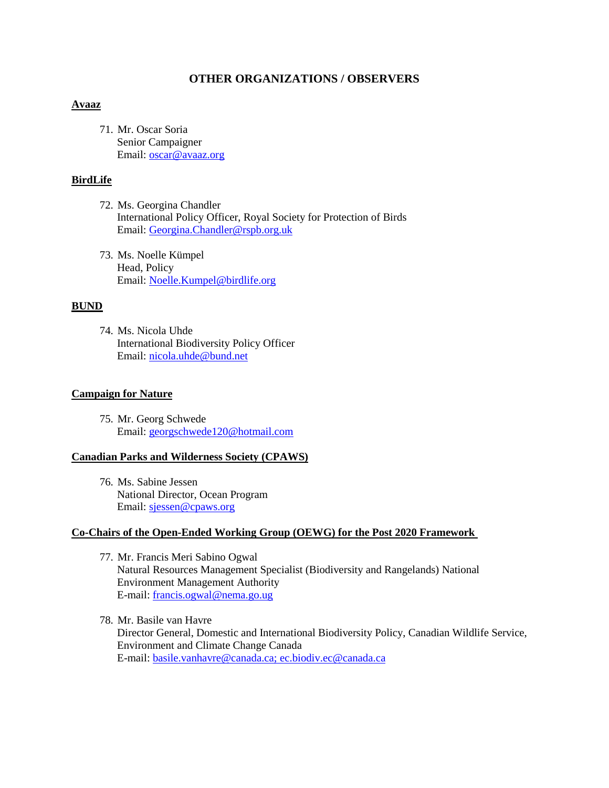# **OTHER ORGANIZATIONS / OBSERVERS**

#### **Avaaz**

71. Mr. Oscar Soria Senior Campaigner Email: [oscar@avaaz.org](mailto:oscar@avaaz.org)

# **BirdLife**

- 72. Ms. Georgina Chandler International Policy Officer, Royal Society for Protection of Birds Email: [Georgina.Chandler@rspb.org.uk](mailto:Georgina.Chandler@rspb.org.uk)
- 73. Ms. Noelle Kümpel Head, Policy Email: [Noelle.Kumpel@birdlife.org](mailto:Noelle.Kumpel@birdlife.org)

# **BUND**

74. Ms. Nicola Uhde International Biodiversity Policy Officer Email: [nicola.uhde@bund.net](mailto:nicola.uhde@bund.net)

# **Campaign for Nature**

75. Mr. Georg Schwede Email: [georgschwede120@hotmail.com](mailto:georgschwede120@hotmail.com)

#### **Canadian Parks and Wilderness Society (CPAWS)**

76. Ms. Sabine Jessen National Director, Ocean Program Email: [sjessen@cpaws.org](mailto:sjessen@cpaws.org)

### **Co-Chairs of the Open-Ended Working Group (OEWG) for the Post 2020 Framework**

- 77. Mr. Francis Meri Sabino Ogwal Natural Resources Management Specialist (Biodiversity and Rangelands) National Environment Management Authority E-mail: [francis.ogwal@nema.go.ug](mailto:francis.ogwal@nema.go.ug)
- 78. Mr. Basile van Havre Director General, Domestic and International Biodiversity Policy, Canadian Wildlife Service, Environment and Climate Change Canada E-mail: basile.vanhavre@canada.ca; [ec.biodiv.ec@canada.ca](mailto:ec.biodiv.ec@canada.ca)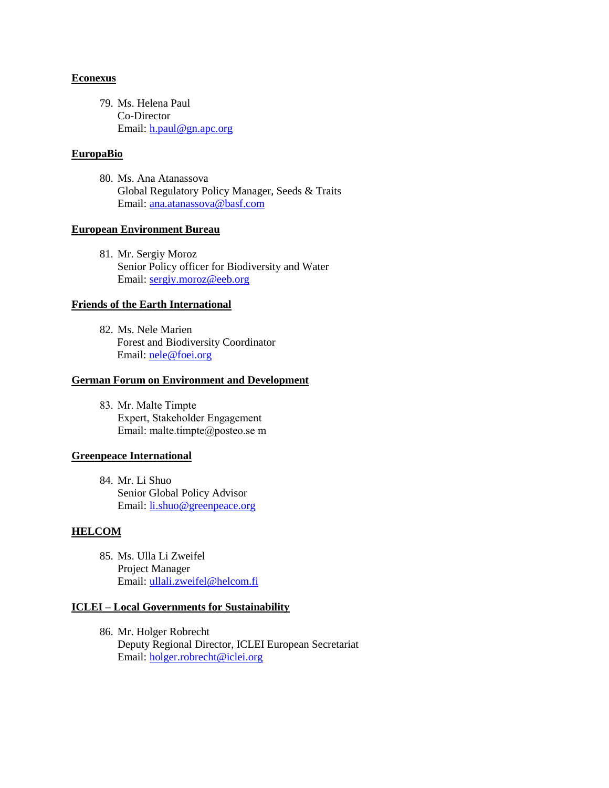### **Econexus**

79. Ms. Helena Paul Co-Director Email: [h.paul@gn.apc.org](mailto:h.paul@gn.apc.org)

# **EuropaBio**

80. Ms. Ana Atanassova Global Regulatory Policy Manager, Seeds & Traits Email: [ana.atanassova@basf.com](mailto:ana.atanassova@basf.com)

### **European Environment Bureau**

81. Mr. Sergiy Moroz Senior Policy officer for Biodiversity and Water Email: [sergiy.moroz@eeb.org](mailto:sergiy.moroz@eeb.org)

### **Friends of the Earth International**

82. Ms. Nele Marien Forest and Biodiversity Coordinator Email: [nele@foei.org](mailto:nele@foei.org)

# **German Forum on Environment and Development**

83. Mr. Malte Timpte Expert, Stakeholder Engagement Email: [malte.timpte@posteo.se](mailto:malte.timpte@posteo.se) m

# **Greenpeace International**

84. Mr. Li Shuo Senior Global Policy Advisor Email: [li.shuo@greenpeace.org](mailto:li.shuo@greenpeace.org)

# **HELCOM**

85. Ms. Ulla Li Zweifel Project Manager Email: [ullali.zweifel@helcom.fi](mailto:ullali.zweifel@helcom.fi)

#### **ICLEI – Local Governments for Sustainability**

86. Mr. Holger Robrecht Deputy Regional Director, ICLEI European Secretariat Email: [holger.robrecht@iclei.org](mailto:holger.robrecht@iclei.org)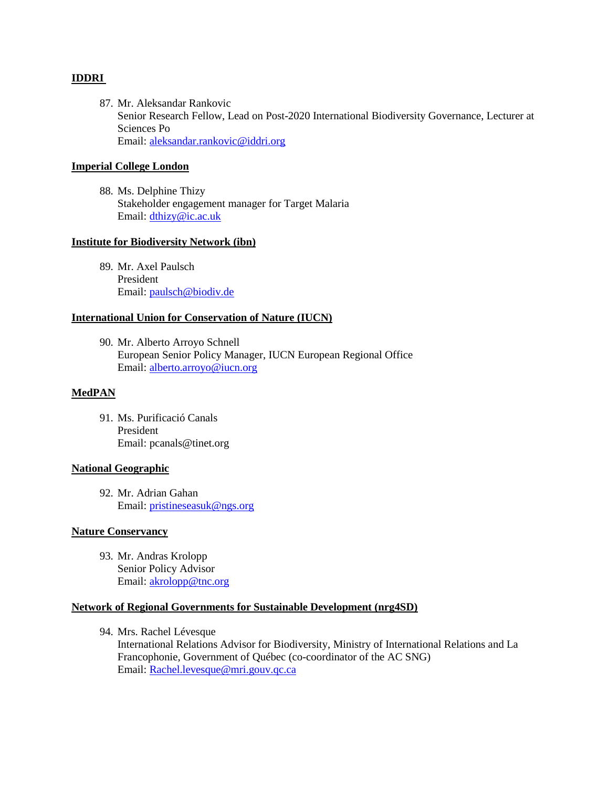# **IDDRI**

87. Mr. Aleksandar Rankovic Senior Research Fellow, Lead on Post-2020 International Biodiversity Governance, Lecturer at Sciences Po Email: [aleksandar.rankovic@iddri.org](mailto:aleksandar.rankovic@iddri.org)

# **Imperial College London**

88. Ms. Delphine Thizy Stakeholder engagement manager for Target Malaria Email: [dthizy@ic.ac.uk](mailto:dthizy@ic.ac.uk)

### **Institute for Biodiversity Network (ibn)**

89. Mr. Axel Paulsch President Email: [paulsch@biodiv.de](mailto:paulsch@biodiv.de)

### **International Union for Conservation of Nature (IUCN)**

90. Mr. Alberto Arroyo Schnell European Senior Policy Manager, IUCN European Regional Office Email: [alberto.arroyo@iucn.org](mailto:alberto.arroyo@iucn.org)

#### **MedPAN**

91. Ms. Purificació Canals President Email: pcanals@tinet.org

#### **National Geographic**

92. Mr. Adrian Gahan Email: [pristineseasuk@ngs.org](mailto:pristineseasuk@ngs.org)

#### **Nature Conservancy**

93. Mr. Andras Krolopp Senior Policy Advisor Email: [akrolopp@tnc.org](mailto:akrolopp@tnc.org)

### **Network of Regional Governments for Sustainable Development (nrg4SD)**

94. Mrs. Rachel Lévesque

International Relations Advisor for Biodiversity, Ministry of International Relations and La Francophonie, Government of Québec (co-coordinator of the AC SNG) Email: [Rachel.levesque@mri.gouv.qc.ca](mailto:Rachel.levesque@mri.gouv.qc.ca)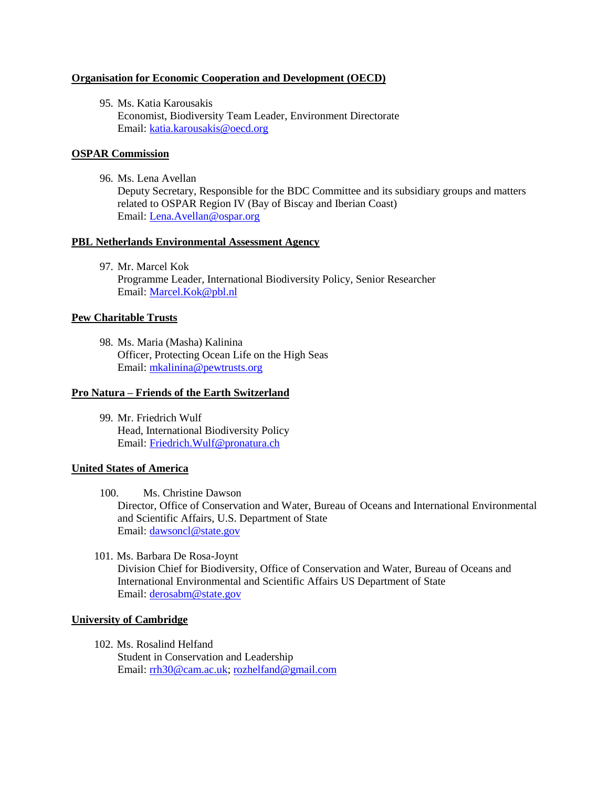# **Organisation for Economic Cooperation and Development (OECD)**

95. Ms. Katia Karousakis Economist, Biodiversity Team Leader, Environment Directorate Email: [katia.karousakis@oecd.org](mailto:katia.karousakis@oecd.org)

### **OSPAR Commission**

96. Ms. Lena Avellan

Deputy Secretary, Responsible for the BDC Committee and its subsidiary groups and matters related to OSPAR Region IV (Bay of Biscay and Iberian Coast) Email: [Lena.Avellan@ospar.org](mailto:Lena.Avellan@ospar.org)

#### **PBL Netherlands Environmental Assessment Agency**

97. Mr. Marcel Kok Programme Leader, International Biodiversity Policy, Senior Researcher Email: [Marcel.Kok@pbl.nl](mailto:Marcel.Kok@pbl.nl)

### **Pew Charitable Trusts**

98. Ms. Maria (Masha) Kalinina Officer, Protecting Ocean Life on the High Seas Email: [mkalinina@pewtrusts.org](mailto:mkalinina@pewtrusts.org)

#### **Pro Natura – Friends of the Earth Switzerland**

99. Mr. Friedrich Wulf Head, International Biodiversity Policy Email: [Friedrich.Wulf@pronatura.ch](mailto:Friedrich.Wulf@pronatura.ch)

#### **United States of America**

100. Ms. Christine Dawson

Director, Office of Conservation and Water, Bureau of Oceans and International Environmental and Scientific Affairs, U.S. Department of State Email: [dawsoncl@state.gov](mailto:dawsoncl@state.gov)

101. Ms. Barbara De Rosa-Joynt Division Chief for Biodiversity, Office of Conservation and Water, Bureau of Oceans and International Environmental and Scientific Affairs US Department of State Email: [derosabm@state.gov](mailto:derosabm@state.gov)

# **University of Cambridge**

102. Ms. Rosalind Helfand Student in Conservation and Leadership Email: [rrh30@cam.ac.uk;](mailto:rrh30@cam.ac.uk) [rozhelfand@gmail.com](mailto:rozhelfand@gmail.com)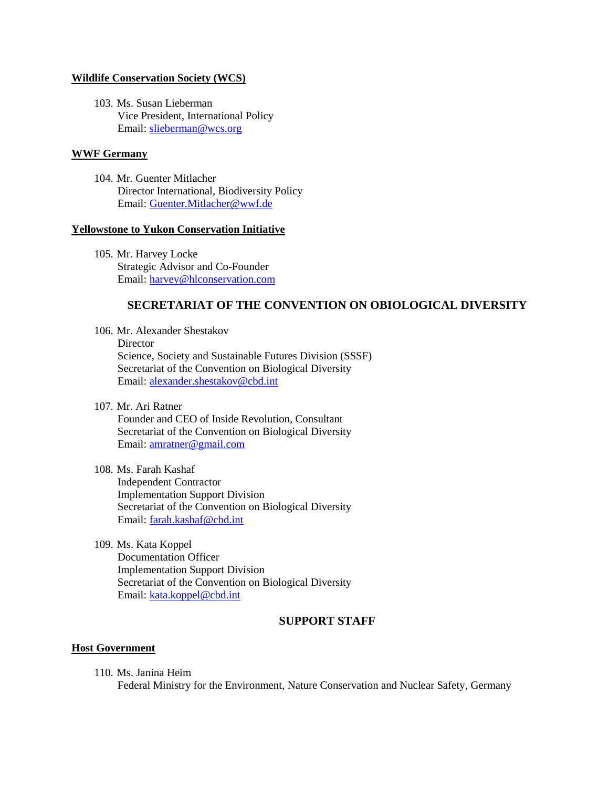#### **Wildlife Conservation Society (WCS)**

103. Ms. Susan Lieberman Vice President, International Policy Email: [slieberman@wcs.org](mailto:slieberman@wcs.org)

# **WWF Germany**

104. Mr. Guenter Mitlacher Director International, Biodiversity Policy Email: [Guenter.Mitlacher@wwf.de](mailto:Guenter.Mitlacher@wwf.de)

### **Yellowstone to Yukon Conservation Initiative**

105. Mr. Harvey Locke Strategic Advisor and Co-Founder Email: [harvey@hlconservation.com](mailto:harvey@hlconservation.com)

# **SECRETARIAT OF THE CONVENTION ON OBIOLOGICAL DIVERSITY**

106. Mr. Alexander Shestakov **Director** Science, Society and Sustainable Futures Division (SSSF) Secretariat of the Convention on Biological Diversity Email: [alexander.shestakov@cbd.int](mailto:alexander.shestakov@cbd.int)

107. Mr. Ari Ratner

Founder and CEO of Inside Revolution, Consultant Secretariat of the Convention on Biological Diversity Email: [amratner@gmail.com](mailto:amratner@gmail.com)

#### 108. Ms. Farah Kashaf

Independent Contractor Implementation Support Division Secretariat of the Convention on Biological Diversity Email: [farah.kashaf@cbd.int](mailto:farah.kashaf@cbd.int)

109. Ms. Kata Koppel Documentation Officer Implementation Support Division Secretariat of the Convention on Biological Diversity Email: [kata.koppel@cbd.int](mailto:kata.koppel@cbd.int)

# **SUPPORT STAFF**

# **Host Government**

110. Ms. Janina Heim Federal Ministry for the Environment, Nature Conservation and Nuclear Safety, Germany